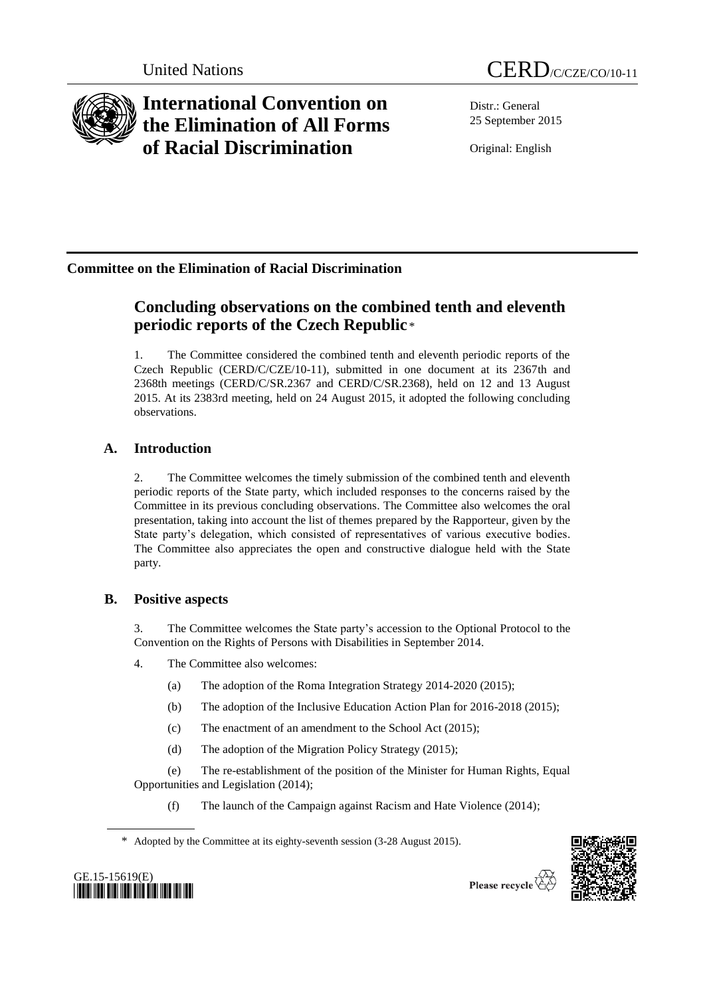

# **International Convention on the Elimination of All Forms of Racial Discrimination**

Distr.: General 25 September 2015

Original: English

## **Committee on the Elimination of Racial Discrimination**

## **Concluding observations on the combined tenth and eleventh periodic reports of the Czech Republic** \*

1. The Committee considered the combined tenth and eleventh periodic reports of the Czech Republic (CERD/C/CZE/10-11), submitted in one document at its 2367th and 2368th meetings (CERD/C/SR.2367 and CERD/C/SR.2368), held on 12 and 13 August 2015. At its 2383rd meeting, held on 24 August 2015, it adopted the following concluding observations.

## **A. Introduction**

2. The Committee welcomes the timely submission of the combined tenth and eleventh periodic reports of the State party, which included responses to the concerns raised by the Committee in its previous concluding observations. The Committee also welcomes the oral presentation, taking into account the list of themes prepared by the Rapporteur, given by the State party's delegation, which consisted of representatives of various executive bodies. The Committee also appreciates the open and constructive dialogue held with the State party.

## **B. Positive aspects**

3. The Committee welcomes the State party's accession to the Optional Protocol to the Convention on the Rights of Persons with Disabilities in September 2014.

- 4. The Committee also welcomes:
	- (a) The adoption of the Roma Integration Strategy 2014-2020 (2015);
	- (b) The adoption of the Inclusive Education Action Plan for 2016-2018 (2015);
	- (c) The enactment of an amendment to the School Act (2015);
	- (d) The adoption of the Migration Policy Strategy (2015);

(e) The re-establishment of the position of the Minister for Human Rights, Equal Opportunities and Legislation (2014);

(f) The launch of the Campaign against Racism and Hate Violence (2014);

\* Adopted by the Committee at its eighty-seventh session (3-28 August 2015).





Please recycle  $\mathfrak{C}$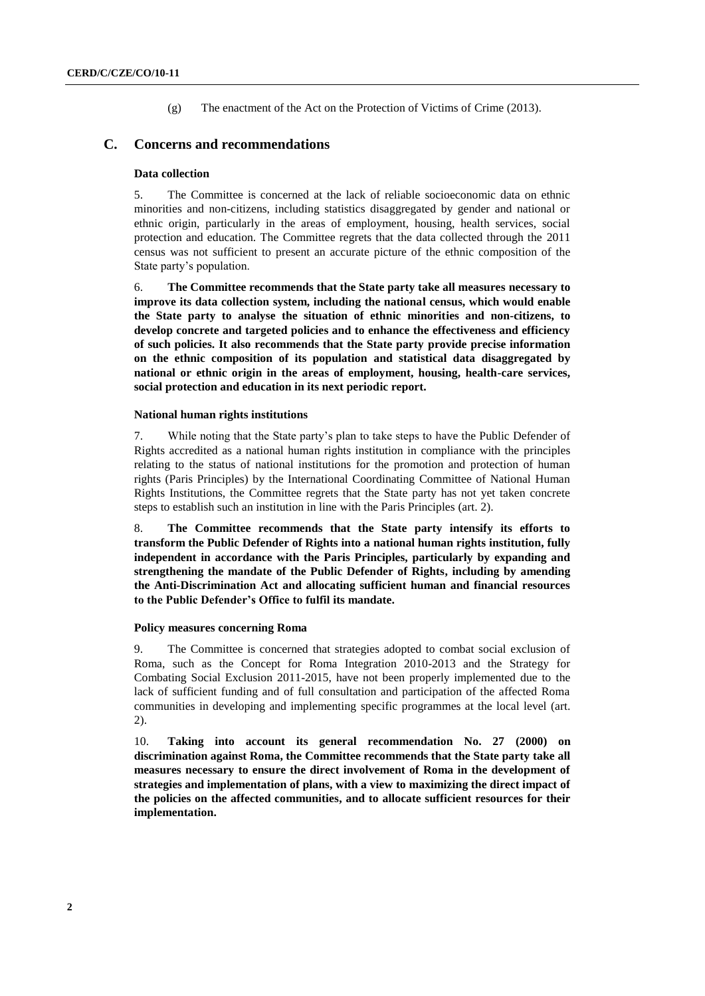(g) The enactment of the Act on the Protection of Victims of Crime (2013).

### **C. Concerns and recommendations**

### **Data collection**

5. The Committee is concerned at the lack of reliable socioeconomic data on ethnic minorities and non-citizens, including statistics disaggregated by gender and national or ethnic origin, particularly in the areas of employment, housing, health services, social protection and education. The Committee regrets that the data collected through the 2011 census was not sufficient to present an accurate picture of the ethnic composition of the State party's population.

6. **The Committee recommends that the State party take all measures necessary to improve its data collection system, including the national census, which would enable the State party to analyse the situation of ethnic minorities and non-citizens, to develop concrete and targeted policies and to enhance the effectiveness and efficiency of such policies. It also recommends that the State party provide precise information on the ethnic composition of its population and statistical data disaggregated by national or ethnic origin in the areas of employment, housing, health-care services, social protection and education in its next periodic report.**

#### **National human rights institutions**

7. While noting that the State party's plan to take steps to have the Public Defender of Rights accredited as a national human rights institution in compliance with the principles relating to the status of national institutions for the promotion and protection of human rights (Paris Principles) by the International Coordinating Committee of National Human Rights Institutions, the Committee regrets that the State party has not yet taken concrete steps to establish such an institution in line with the Paris Principles (art. 2).

8. **The Committee recommends that the State party intensify its efforts to transform the Public Defender of Rights into a national human rights institution, fully independent in accordance with the Paris Principles, particularly by expanding and strengthening the mandate of the Public Defender of Rights, including by amending the Anti-Discrimination Act and allocating sufficient human and financial resources to the Public Defender's Office to fulfil its mandate.**

#### **Policy measures concerning Roma**

9. The Committee is concerned that strategies adopted to combat social exclusion of Roma, such as the Concept for Roma Integration 2010-2013 and the Strategy for Combating Social Exclusion 2011-2015, have not been properly implemented due to the lack of sufficient funding and of full consultation and participation of the affected Roma communities in developing and implementing specific programmes at the local level (art. 2).

10. **Taking into account its general recommendation No. 27 (2000) on discrimination against Roma, the Committee recommends that the State party take all measures necessary to ensure the direct involvement of Roma in the development of strategies and implementation of plans, with a view to maximizing the direct impact of the policies on the affected communities, and to allocate sufficient resources for their implementation.**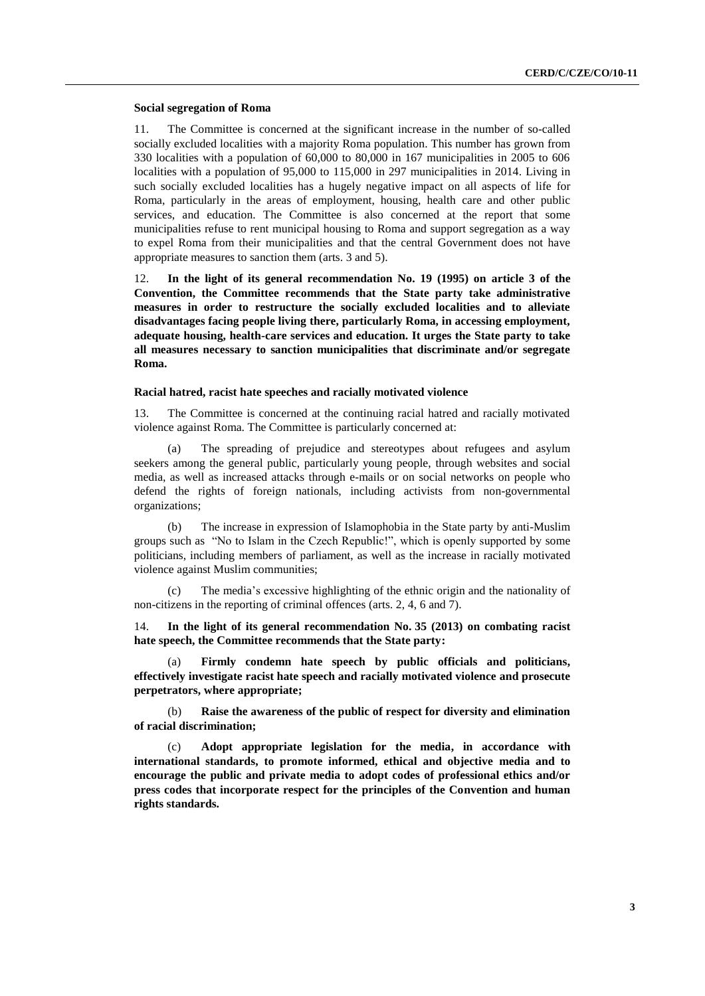#### **Social segregation of Roma**

11. The Committee is concerned at the significant increase in the number of so-called socially excluded localities with a majority Roma population. This number has grown from 330 localities with a population of 60,000 to 80,000 in 167 municipalities in 2005 to 606 localities with a population of 95,000 to 115,000 in 297 municipalities in 2014. Living in such socially excluded localities has a hugely negative impact on all aspects of life for Roma, particularly in the areas of employment, housing, health care and other public services, and education. The Committee is also concerned at the report that some municipalities refuse to rent municipal housing to Roma and support segregation as a way to expel Roma from their municipalities and that the central Government does not have appropriate measures to sanction them (arts. 3 and 5).

12. **In the light of its general recommendation No. 19 (1995) on article 3 of the Convention, the Committee recommends that the State party take administrative measures in order to restructure the socially excluded localities and to alleviate disadvantages facing people living there, particularly Roma, in accessing employment, adequate housing, health-care services and education. It urges the State party to take all measures necessary to sanction municipalities that discriminate and/or segregate Roma.**

#### **Racial hatred, racist hate speeches and racially motivated violence**

13. The Committee is concerned at the continuing racial hatred and racially motivated violence against Roma. The Committee is particularly concerned at:

The spreading of prejudice and stereotypes about refugees and asylum seekers among the general public, particularly young people, through websites and social media, as well as increased attacks through e-mails or on social networks on people who defend the rights of foreign nationals, including activists from non-governmental organizations;

(b) The increase in expression of Islamophobia in the State party by anti-Muslim groups such as "No to Islam in the Czech Republic!", which is openly supported by some politicians, including members of parliament, as well as the increase in racially motivated violence against Muslim communities;

(c) The media's excessive highlighting of the ethnic origin and the nationality of non-citizens in the reporting of criminal offences (arts. 2, 4, 6 and 7).

14. **In the light of its general recommendation No. 35 (2013) on combating racist hate speech, the Committee recommends that the State party:**

(a) **Firmly condemn hate speech by public officials and politicians, effectively investigate racist hate speech and racially motivated violence and prosecute perpetrators, where appropriate;**

(b) **Raise the awareness of the public of respect for diversity and elimination of racial discrimination;**

(c) **Adopt appropriate legislation for the media, in accordance with international standards, to promote informed, ethical and objective media and to encourage the public and private media to adopt codes of professional ethics and/or press codes that incorporate respect for the principles of the Convention and human rights standards.**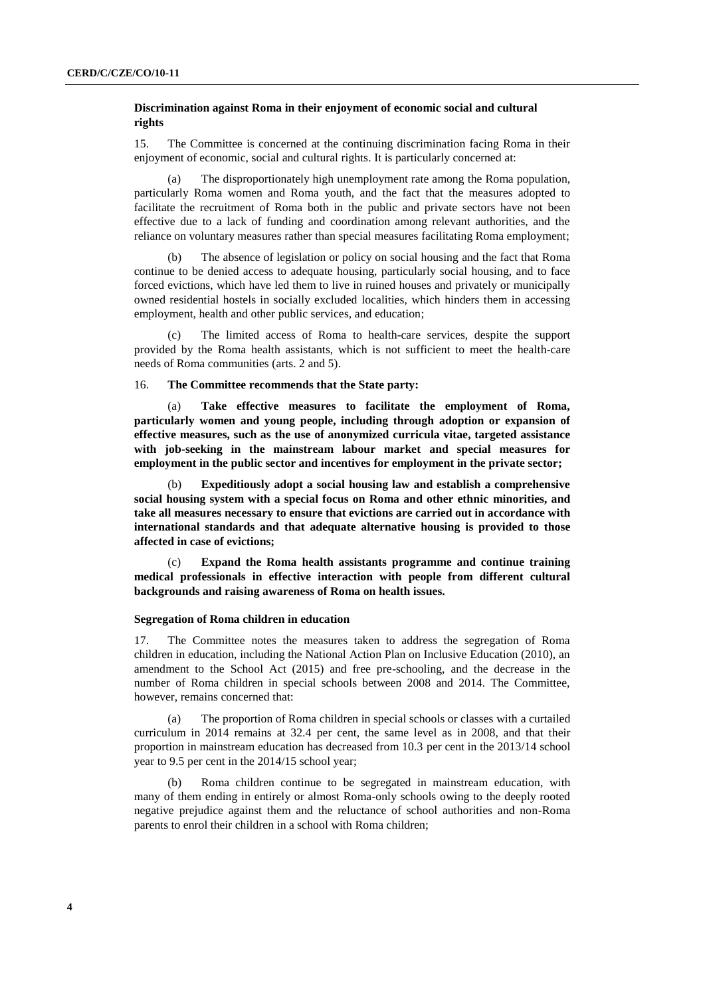### **Discrimination against Roma in their enjoyment of economic social and cultural rights**

15. The Committee is concerned at the continuing discrimination facing Roma in their enjoyment of economic, social and cultural rights. It is particularly concerned at:

The disproportionately high unemployment rate among the Roma population, particularly Roma women and Roma youth, and the fact that the measures adopted to facilitate the recruitment of Roma both in the public and private sectors have not been effective due to a lack of funding and coordination among relevant authorities, and the reliance on voluntary measures rather than special measures facilitating Roma employment;

(b) The absence of legislation or policy on social housing and the fact that Roma continue to be denied access to adequate housing, particularly social housing, and to face forced evictions, which have led them to live in ruined houses and privately or municipally owned residential hostels in socially excluded localities, which hinders them in accessing employment, health and other public services, and education;

The limited access of Roma to health-care services, despite the support provided by the Roma health assistants, which is not sufficient to meet the health-care needs of Roma communities (arts. 2 and 5).

#### 16. **The Committee recommends that the State party:**

(a) **Take effective measures to facilitate the employment of Roma, particularly women and young people, including through adoption or expansion of effective measures, such as the use of anonymized curricula vitae, targeted assistance with job-seeking in the mainstream labour market and special measures for employment in the public sector and incentives for employment in the private sector;**

(b) **Expeditiously adopt a social housing law and establish a comprehensive social housing system with a special focus on Roma and other ethnic minorities, and take all measures necessary to ensure that evictions are carried out in accordance with international standards and that adequate alternative housing is provided to those affected in case of evictions;**

(c) **Expand the Roma health assistants programme and continue training medical professionals in effective interaction with people from different cultural backgrounds and raising awareness of Roma on health issues.** 

#### **Segregation of Roma children in education**

17. The Committee notes the measures taken to address the segregation of Roma children in education, including the National Action Plan on Inclusive Education (2010), an amendment to the School Act (2015) and free pre-schooling, and the decrease in the number of Roma children in special schools between 2008 and 2014. The Committee, however, remains concerned that:

(a) The proportion of Roma children in special schools or classes with a curtailed curriculum in 2014 remains at 32.4 per cent, the same level as in 2008, and that their proportion in mainstream education has decreased from 10.3 per cent in the 2013/14 school year to 9.5 per cent in the 2014/15 school year;

(b) Roma children continue to be segregated in mainstream education, with many of them ending in entirely or almost Roma-only schools owing to the deeply rooted negative prejudice against them and the reluctance of school authorities and non-Roma parents to enrol their children in a school with Roma children;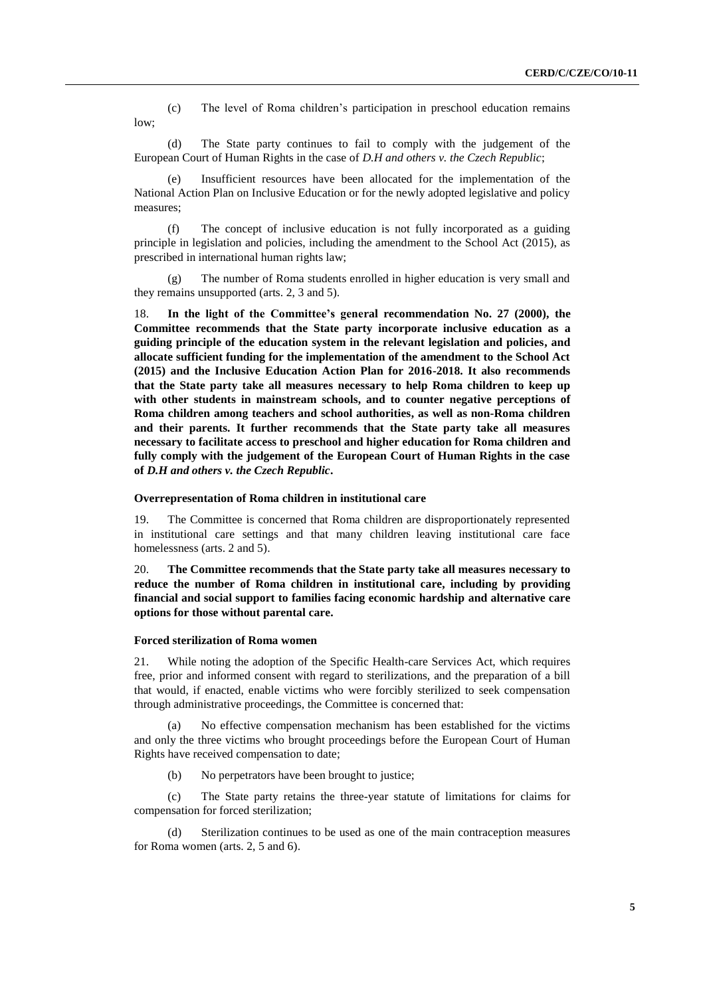(c) The level of Roma children's participation in preschool education remains low;

(d) The State party continues to fail to comply with the judgement of the European Court of Human Rights in the case of *D.H and others v. the Czech Republic*;

(e) Insufficient resources have been allocated for the implementation of the National Action Plan on Inclusive Education or for the newly adopted legislative and policy measures;

(f) The concept of inclusive education is not fully incorporated as a guiding principle in legislation and policies, including the amendment to the School Act (2015), as prescribed in international human rights law;

(g) The number of Roma students enrolled in higher education is very small and they remains unsupported (arts. 2, 3 and 5).

18. **In the light of the Committee's general recommendation No. 27 (2000), the Committee recommends that the State party incorporate inclusive education as a guiding principle of the education system in the relevant legislation and policies, and allocate sufficient funding for the implementation of the amendment to the School Act (2015) and the Inclusive Education Action Plan for 2016-2018. It also recommends that the State party take all measures necessary to help Roma children to keep up with other students in mainstream schools, and to counter negative perceptions of Roma children among teachers and school authorities, as well as non-Roma children and their parents. It further recommends that the State party take all measures necessary to facilitate access to preschool and higher education for Roma children and fully comply with the judgement of the European Court of Human Rights in the case of** *D.H and others v. the Czech Republic***.**

#### **Overrepresentation of Roma children in institutional care**

19. The Committee is concerned that Roma children are disproportionately represented in institutional care settings and that many children leaving institutional care face homelessness (arts. 2 and 5).

20. **The Committee recommends that the State party take all measures necessary to reduce the number of Roma children in institutional care, including by providing financial and social support to families facing economic hardship and alternative care options for those without parental care.** 

#### **Forced sterilization of Roma women**

21. While noting the adoption of the Specific Health-care Services Act, which requires free, prior and informed consent with regard to sterilizations, and the preparation of a bill that would, if enacted, enable victims who were forcibly sterilized to seek compensation through administrative proceedings, the Committee is concerned that:

(a) No effective compensation mechanism has been established for the victims and only the three victims who brought proceedings before the European Court of Human Rights have received compensation to date;

(b) No perpetrators have been brought to justice;

(c) The State party retains the three-year statute of limitations for claims for compensation for forced sterilization;

(d) Sterilization continues to be used as one of the main contraception measures for Roma women (arts. 2, 5 and 6).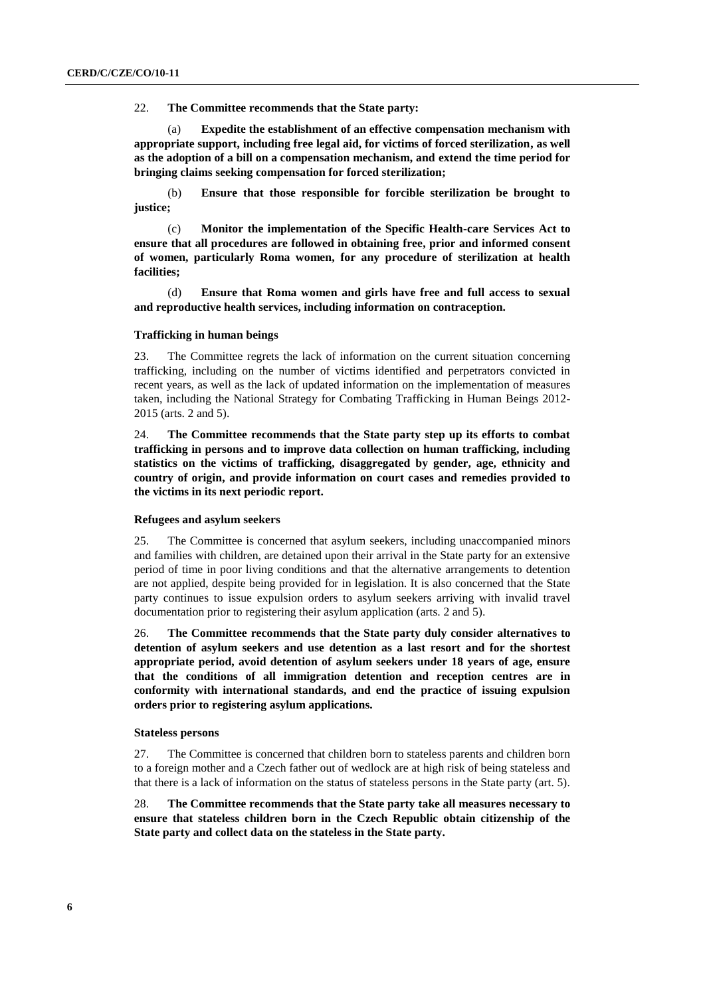22. **The Committee recommends that the State party:** 

**Expedite the establishment of an effective compensation mechanism with appropriate support, including free legal aid, for victims of forced sterilization, as well as the adoption of a bill on a compensation mechanism, and extend the time period for bringing claims seeking compensation for forced sterilization;**

(b) **Ensure that those responsible for forcible sterilization be brought to justice;**

(c) **Monitor the implementation of the Specific Health-care Services Act to ensure that all procedures are followed in obtaining free, prior and informed consent of women, particularly Roma women, for any procedure of sterilization at health facilities;** 

(d) **Ensure that Roma women and girls have free and full access to sexual and reproductive health services, including information on contraception.** 

#### **Trafficking in human beings**

23. The Committee regrets the lack of information on the current situation concerning trafficking, including on the number of victims identified and perpetrators convicted in recent years, as well as the lack of updated information on the implementation of measures taken, including the National Strategy for Combating Trafficking in Human Beings 2012- 2015 (arts. 2 and 5).

24. **The Committee recommends that the State party step up its efforts to combat trafficking in persons and to improve data collection on human trafficking, including statistics on the victims of trafficking, disaggregated by gender, age, ethnicity and country of origin, and provide information on court cases and remedies provided to the victims in its next periodic report.**

#### **Refugees and asylum seekers**

25. The Committee is concerned that asylum seekers, including unaccompanied minors and families with children, are detained upon their arrival in the State party for an extensive period of time in poor living conditions and that the alternative arrangements to detention are not applied, despite being provided for in legislation. It is also concerned that the State party continues to issue expulsion orders to asylum seekers arriving with invalid travel documentation prior to registering their asylum application (arts. 2 and 5).

26. **The Committee recommends that the State party duly consider alternatives to detention of asylum seekers and use detention as a last resort and for the shortest appropriate period, avoid detention of asylum seekers under 18 years of age, ensure that the conditions of all immigration detention and reception centres are in conformity with international standards, and end the practice of issuing expulsion orders prior to registering asylum applications.** 

#### **Stateless persons**

27. The Committee is concerned that children born to stateless parents and children born to a foreign mother and a Czech father out of wedlock are at high risk of being stateless and that there is a lack of information on the status of stateless persons in the State party (art. 5).

28. **The Committee recommends that the State party take all measures necessary to ensure that stateless children born in the Czech Republic obtain citizenship of the State party and collect data on the stateless in the State party.**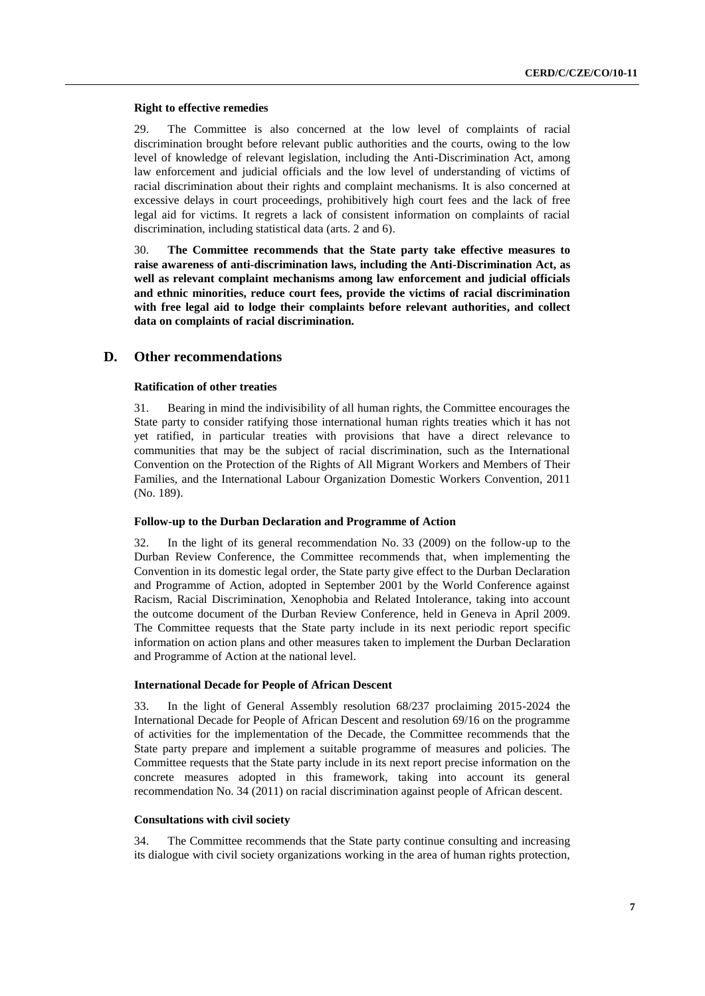#### **Right to effective remedies**

29. The Committee is also concerned at the low level of complaints of racial discrimination brought before relevant public authorities and the courts, owing to the low level of knowledge of relevant legislation, including the Anti-Discrimination Act, among law enforcement and judicial officials and the low level of understanding of victims of racial discrimination about their rights and complaint mechanisms. It is also concerned at excessive delays in court proceedings, prohibitively high court fees and the lack of free legal aid for victims. It regrets a lack of consistent information on complaints of racial discrimination, including statistical data (arts. 2 and 6).

30. **The Committee recommends that the State party take effective measures to raise awareness of anti-discrimination laws, including the Anti-Discrimination Act, as well as relevant complaint mechanisms among law enforcement and judicial officials and ethnic minorities, reduce court fees, provide the victims of racial discrimination with free legal aid to lodge their complaints before relevant authorities, and collect data on complaints of racial discrimination.**

## **D. Other recommendations**

### **Ratification of other treaties**

31. Bearing in mind the indivisibility of all human rights, the Committee encourages the State party to consider ratifying those international human rights treaties which it has not yet ratified, in particular treaties with provisions that have a direct relevance to communities that may be the subject of racial discrimination, such as the International Convention on the Protection of the Rights of All Migrant Workers and Members of Their Families, and the International Labour Organization Domestic Workers Convention, 2011 (No. 189).

#### **Follow-up to the Durban Declaration and Programme of Action**

32. In the light of its general recommendation No. 33 (2009) on the follow-up to the Durban Review Conference, the Committee recommends that, when implementing the Convention in its domestic legal order, the State party give effect to the Durban Declaration and Programme of Action, adopted in September 2001 by the World Conference against Racism, Racial Discrimination, Xenophobia and Related Intolerance, taking into account the outcome document of the Durban Review Conference, held in Geneva in April 2009. The Committee requests that the State party include in its next periodic report specific information on action plans and other measures taken to implement the Durban Declaration and Programme of Action at the national level.

#### **International Decade for People of African Descent**

33. In the light of General Assembly resolution 68/237 proclaiming 2015-2024 the International Decade for People of African Descent and resolution 69/16 on the programme of activities for the implementation of the Decade, the Committee recommends that the State party prepare and implement a suitable programme of measures and policies. The Committee requests that the State party include in its next report precise information on the concrete measures adopted in this framework, taking into account its general recommendation No. 34 (2011) on racial discrimination against people of African descent.

#### **Consultations with civil society**

34. The Committee recommends that the State party continue consulting and increasing its dialogue with civil society organizations working in the area of human rights protection,